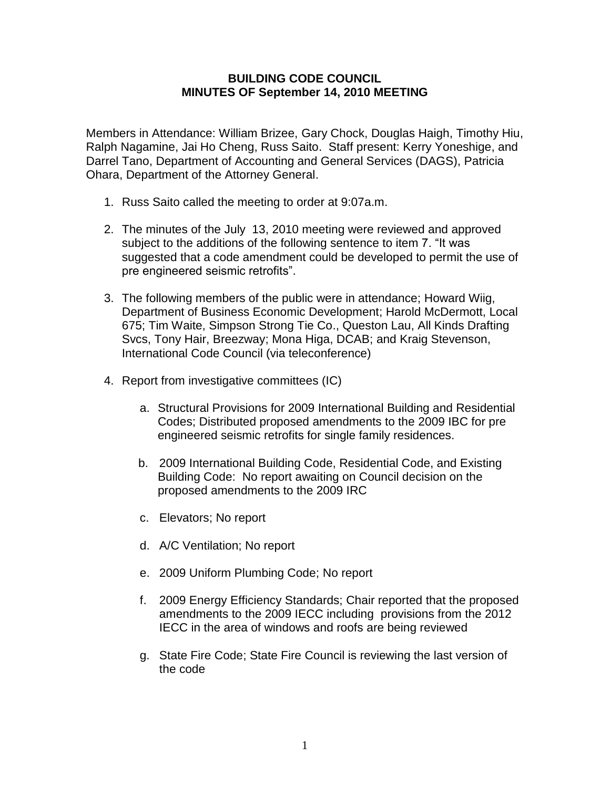## **BUILDING CODE COUNCIL MINUTES OF September 14, 2010 MEETING**

Members in Attendance: William Brizee, Gary Chock, Douglas Haigh, Timothy Hiu, Ralph Nagamine, Jai Ho Cheng, Russ Saito. Staff present: Kerry Yoneshige, and Darrel Tano, Department of Accounting and General Services (DAGS), Patricia Ohara, Department of the Attorney General.

- 1. Russ Saito called the meeting to order at 9:07a.m.
- 2. The minutes of the July 13, 2010 meeting were reviewed and approved subject to the additions of the following sentence to item 7. "It was suggested that a code amendment could be developed to permit the use of pre engineered seismic retrofits".
- 3. The following members of the public were in attendance; Howard Wiig, Department of Business Economic Development; Harold McDermott, Local 675; Tim Waite, Simpson Strong Tie Co., Queston Lau, All Kinds Drafting Svcs, Tony Hair, Breezway; Mona Higa, DCAB; and Kraig Stevenson, International Code Council (via teleconference)
- 4. Report from investigative committees (IC)
	- a. Structural Provisions for 2009 International Building and Residential Codes; Distributed proposed amendments to the 2009 IBC for pre engineered seismic retrofits for single family residences.
	- b. 2009 International Building Code, Residential Code, and Existing Building Code: No report awaiting on Council decision on the proposed amendments to the 2009 IRC
	- c. Elevators; No report
	- d. A/C Ventilation; No report
	- e. 2009 Uniform Plumbing Code; No report
	- f. 2009 Energy Efficiency Standards; Chair reported that the proposed amendments to the 2009 IECC including provisions from the 2012 IECC in the area of windows and roofs are being reviewed
	- g. State Fire Code; State Fire Council is reviewing the last version of the code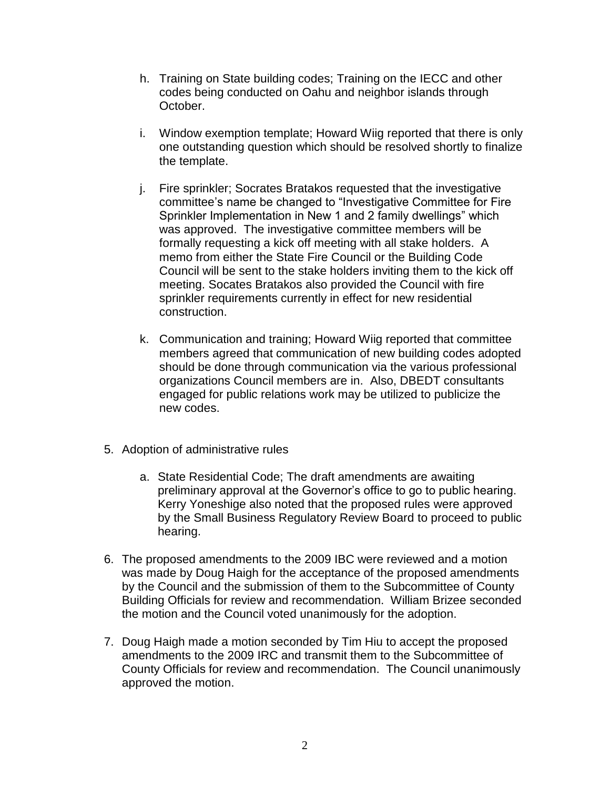- h. Training on State building codes; Training on the IECC and other codes being conducted on Oahu and neighbor islands through October.
- i. Window exemption template; Howard Wiig reported that there is only one outstanding question which should be resolved shortly to finalize the template.
- j. Fire sprinkler; Socrates Bratakos requested that the investigative committee's name be changed to "Investigative Committee for Fire Sprinkler Implementation in New 1 and 2 family dwellings" which was approved. The investigative committee members will be formally requesting a kick off meeting with all stake holders. A memo from either the State Fire Council or the Building Code Council will be sent to the stake holders inviting them to the kick off meeting. Socates Bratakos also provided the Council with fire sprinkler requirements currently in effect for new residential construction.
- k. Communication and training; Howard Wiig reported that committee members agreed that communication of new building codes adopted should be done through communication via the various professional organizations Council members are in. Also, DBEDT consultants engaged for public relations work may be utilized to publicize the new codes.
- 5. Adoption of administrative rules
	- a. State Residential Code; The draft amendments are awaiting preliminary approval at the Governor's office to go to public hearing. Kerry Yoneshige also noted that the proposed rules were approved by the Small Business Regulatory Review Board to proceed to public hearing.
- 6. The proposed amendments to the 2009 IBC were reviewed and a motion was made by Doug Haigh for the acceptance of the proposed amendments by the Council and the submission of them to the Subcommittee of County Building Officials for review and recommendation. William Brizee seconded the motion and the Council voted unanimously for the adoption.
- 7. Doug Haigh made a motion seconded by Tim Hiu to accept the proposed amendments to the 2009 IRC and transmit them to the Subcommittee of County Officials for review and recommendation. The Council unanimously approved the motion.